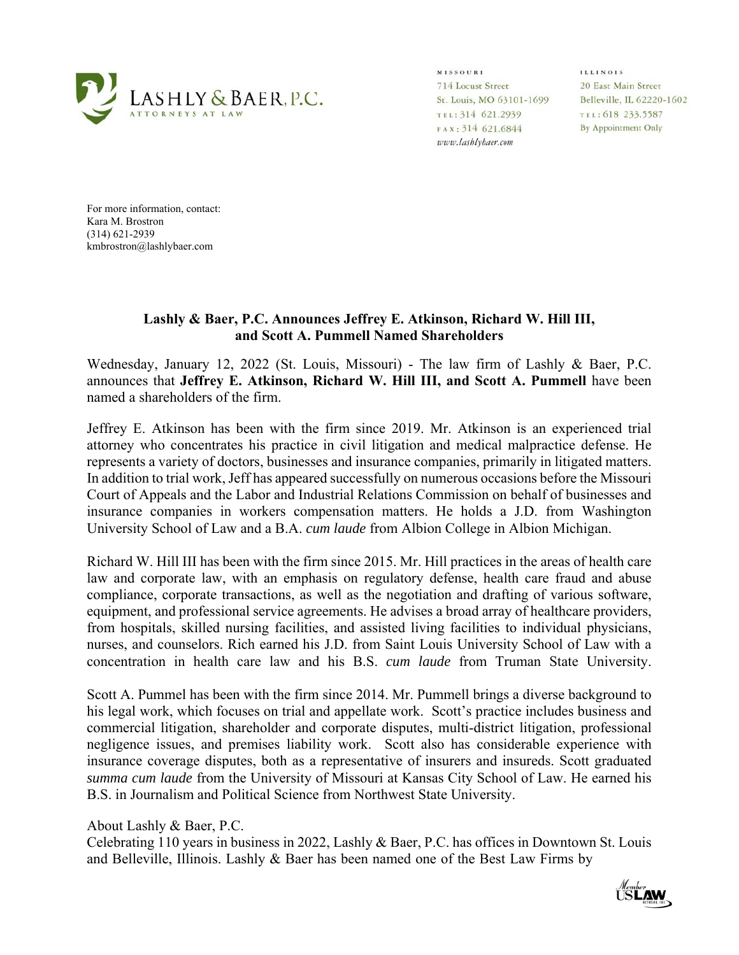

**MISSOURI** 714 Locust Street St. Louis, MO 63101-1699 TEL: 314 621.2939 FAX: 314 621.6844 www.lashlybaer.com

**ILLINOIS** 20 East Main Street Belleville, IL 62220-1602 TEL: 618 233.5587 By Appointment Only

For more information, contact: Kara M. Brostron (314) 621-2939 kmbrostron@lashlybaer.com

## **Lashly & Baer, P.C. Announces Jeffrey E. Atkinson, Richard W. Hill III, and Scott A. Pummell Named Shareholders**

Wednesday, January 12, 2022 (St. Louis, Missouri) - The law firm of Lashly & Baer, P.C. announces that **Jeffrey E. Atkinson, Richard W. Hill III, and Scott A. Pummell** have been named a shareholders of the firm.

Jeffrey E. Atkinson has been with the firm since 2019. Mr. Atkinson is an experienced trial attorney who concentrates his practice in civil litigation and medical malpractice defense. He represents a variety of doctors, businesses and insurance companies, primarily in litigated matters. In addition to trial work, Jeff has appeared successfully on numerous occasions before the Missouri Court of Appeals and the Labor and Industrial Relations Commission on behalf of businesses and insurance companies in workers compensation matters. He holds a J.D. from Washington University School of Law and a B.A. *cum laude* from Albion College in Albion Michigan.

Richard W. Hill III has been with the firm since 2015. Mr. Hill practices in the areas of health care law and corporate law, with an emphasis on regulatory defense, health care fraud and abuse compliance, corporate transactions, as well as the negotiation and drafting of various software, equipment, and professional service agreements. He advises a broad array of healthcare providers, from hospitals, skilled nursing facilities, and assisted living facilities to individual physicians, nurses, and counselors. Rich earned his J.D. from Saint Louis University School of Law with a concentration in health care law and his B.S. *cum laude* from Truman State University.

Scott A. Pummel has been with the firm since 2014. Mr. Pummell brings a diverse background to his legal work, which focuses on trial and appellate work. Scott's practice includes business and commercial litigation, shareholder and corporate disputes, multi-district litigation, professional negligence issues, and premises liability work. Scott also has considerable experience with insurance coverage disputes, both as a representative of insurers and insureds. Scott graduated *summa cum laude* from the University of Missouri at Kansas City School of Law. He earned his B.S. in Journalism and Political Science from Northwest State University.

About Lashly & Baer, P.C.

Celebrating 110 years in business in 2022, Lashly & Baer, P.C. has offices in Downtown St. Louis and Belleville, Illinois. Lashly & Baer has been named one of the Best Law Firms by